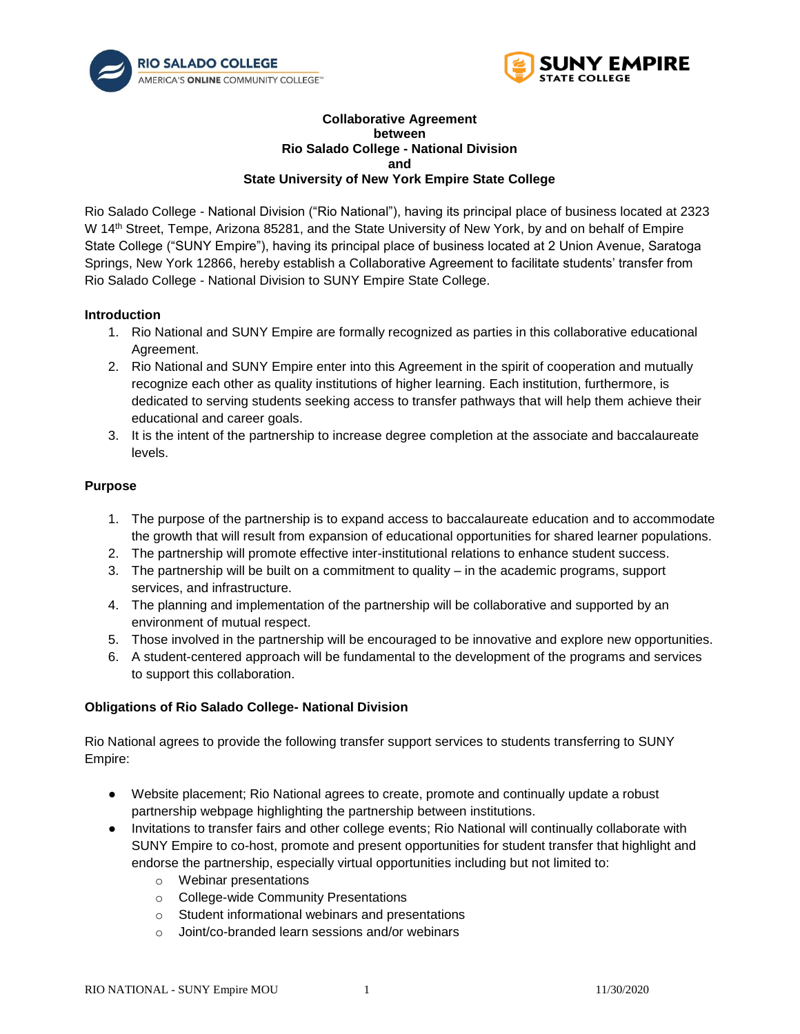



#### **Collaborative Agreement between Rio Salado College - National Division and State University of New York Empire State College**

Rio Salado College - National Division ("Rio National"), having its principal place of business located at 2323 W 14<sup>th</sup> Street, Tempe, Arizona 85281, and the State University of New York, by and on behalf of Empire State College ("SUNY Empire"), having its principal place of business located at 2 Union Avenue, Saratoga Springs, New York 12866, hereby establish a Collaborative Agreement to facilitate students' transfer from Rio Salado College - National Division to SUNY Empire State College.

### **Introduction**

- 1. Rio National and SUNY Empire are formally recognized as parties in this collaborative educational Agreement.
- 2. Rio National and SUNY Empire enter into this Agreement in the spirit of cooperation and mutually recognize each other as quality institutions of higher learning. Each institution, furthermore, is dedicated to serving students seeking access to transfer pathways that will help them achieve their educational and career goals.
- 3. It is the intent of the partnership to increase degree completion at the associate and baccalaureate levels.

# **Purpose**

- 1. The purpose of the partnership is to expand access to baccalaureate education and to accommodate the growth that will result from expansion of educational opportunities for shared learner populations.
- 2. The partnership will promote effective inter-institutional relations to enhance student success.
- 3. The partnership will be built on a commitment to quality in the academic programs, support services, and infrastructure.
- 4. The planning and implementation of the partnership will be collaborative and supported by an environment of mutual respect.
- 5. Those involved in the partnership will be encouraged to be innovative and explore new opportunities.
- 6. A student-centered approach will be fundamental to the development of the programs and services to support this collaboration.

# **Obligations of Rio Salado College- National Division**

Rio National agrees to provide the following transfer support services to students transferring to SUNY Empire:

- Website placement; Rio National agrees to create, promote and continually update a robust partnership webpage highlighting the partnership between institutions.
- Invitations to transfer fairs and other college events; Rio National will continually collaborate with SUNY Empire to co-host, promote and present opportunities for student transfer that highlight and endorse the partnership, especially virtual opportunities including but not limited to:
	- o Webinar presentations
	- o College-wide Community Presentations
	- o Student informational webinars and presentations
	- o Joint/co-branded learn sessions and/or webinars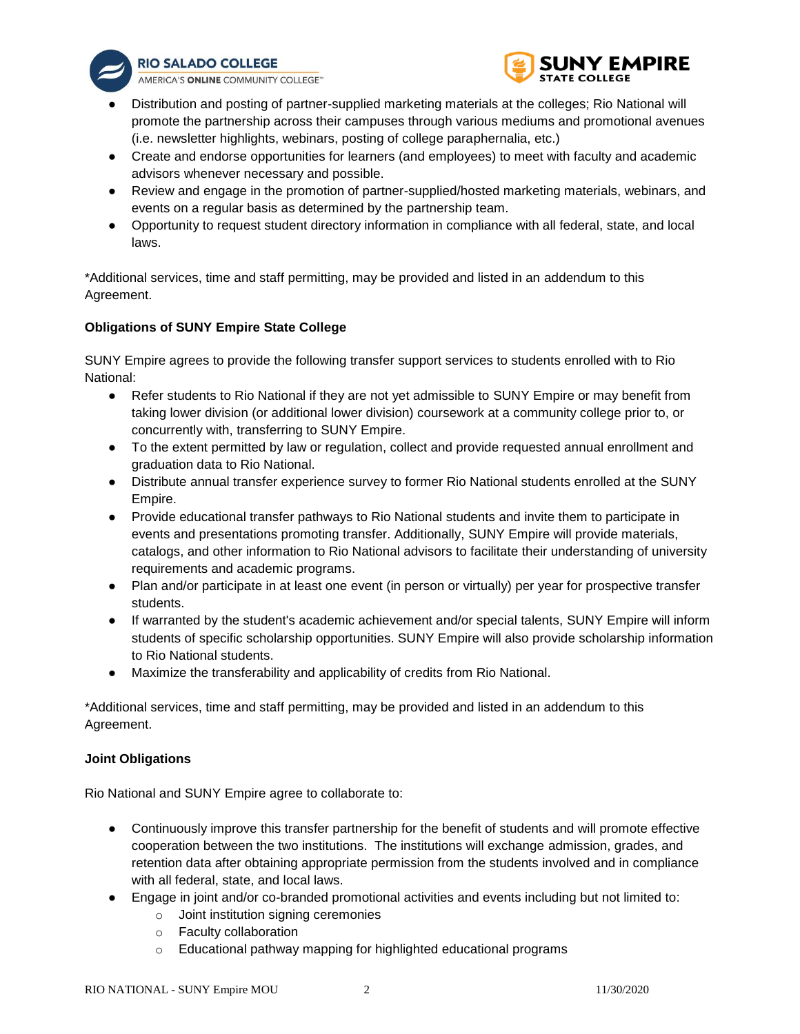

**RIO SALADO COLLEGE** 

AMERICA'S ONLINE COMMUNITY COLLEGE<sup>14</sup>



- Distribution and posting of partner-supplied marketing materials at the colleges; Rio National will promote the partnership across their campuses through various mediums and promotional avenues (i.e. newsletter highlights, webinars, posting of college paraphernalia, etc.)
- Create and endorse opportunities for learners (and employees) to meet with faculty and academic advisors whenever necessary and possible.
- Review and engage in the promotion of partner-supplied/hosted marketing materials, webinars, and events on a regular basis as determined by the partnership team.
- Opportunity to request student directory information in compliance with all federal, state, and local laws.

\*Additional services, time and staff permitting, may be provided and listed in an addendum to this Agreement.

# **Obligations of SUNY Empire State College**

SUNY Empire agrees to provide the following transfer support services to students enrolled with to Rio National:

- Refer students to Rio National if they are not yet admissible to SUNY Empire or may benefit from taking lower division (or additional lower division) coursework at a community college prior to, or concurrently with, transferring to SUNY Empire.
- To the extent permitted by law or regulation, collect and provide requested annual enrollment and graduation data to Rio National.
- Distribute annual transfer experience survey to former Rio National students enrolled at the SUNY Empire.
- Provide educational transfer pathways to Rio National students and invite them to participate in events and presentations promoting transfer. Additionally, SUNY Empire will provide materials, catalogs, and other information to Rio National advisors to facilitate their understanding of university requirements and academic programs.
- Plan and/or participate in at least one event (in person or virtually) per year for prospective transfer students.
- If warranted by the student's academic achievement and/or special talents, SUNY Empire will inform students of specific scholarship opportunities. SUNY Empire will also provide scholarship information to Rio National students.
- Maximize the transferability and applicability of credits from Rio National.

\*Additional services, time and staff permitting, may be provided and listed in an addendum to this Agreement.

# **Joint Obligations**

Rio National and SUNY Empire agree to collaborate to:

- Continuously improve this transfer partnership for the benefit of students and will promote effective cooperation between the two institutions. The institutions will exchange admission, grades, and retention data after obtaining appropriate permission from the students involved and in compliance with all federal, state, and local laws.
- Engage in joint and/or co-branded promotional activities and events including but not limited to:
	- o Joint institution signing ceremonies
	- o Faculty collaboration
	- o Educational pathway mapping for highlighted educational programs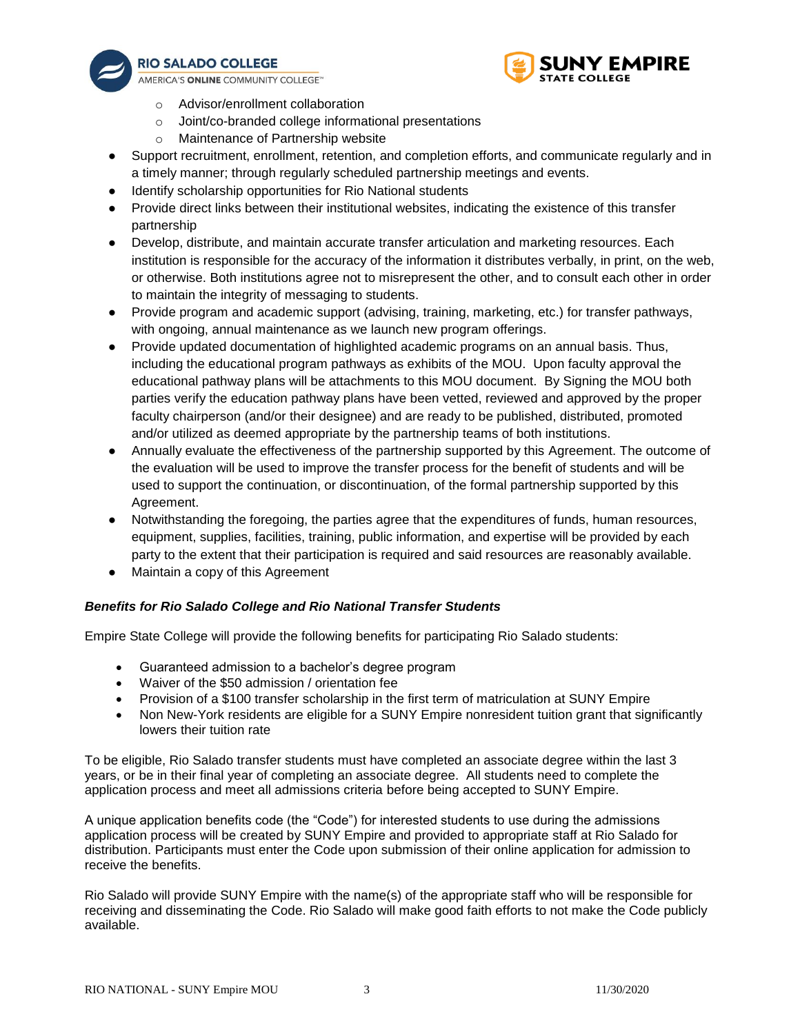

**RIO SALADO COLLEGE** 

AMERICA'S ONLINE COMMUNITY COLLEGE<sup>16</sup>



- o Advisor/enrollment collaboration
- o Joint/co-branded college informational presentations
- o Maintenance of Partnership website
- Support recruitment, enrollment, retention, and completion efforts, and communicate regularly and in a timely manner; through regularly scheduled partnership meetings and events.
- Identify scholarship opportunities for Rio National students
- Provide direct links between their institutional websites, indicating the existence of this transfer partnership
- Develop, distribute, and maintain accurate transfer articulation and marketing resources. Each institution is responsible for the accuracy of the information it distributes verbally, in print, on the web, or otherwise. Both institutions agree not to misrepresent the other, and to consult each other in order to maintain the integrity of messaging to students.
- Provide program and academic support (advising, training, marketing, etc.) for transfer pathways, with ongoing, annual maintenance as we launch new program offerings.
- Provide updated documentation of highlighted academic programs on an annual basis. Thus, including the educational program pathways as exhibits of the MOU. Upon faculty approval the educational pathway plans will be attachments to this MOU document. By Signing the MOU both parties verify the education pathway plans have been vetted, reviewed and approved by the proper faculty chairperson (and/or their designee) and are ready to be published, distributed, promoted and/or utilized as deemed appropriate by the partnership teams of both institutions.
- Annually evaluate the effectiveness of the partnership supported by this Agreement. The outcome of the evaluation will be used to improve the transfer process for the benefit of students and will be used to support the continuation, or discontinuation, of the formal partnership supported by this Agreement.
- Notwithstanding the foregoing, the parties agree that the expenditures of funds, human resources, equipment, supplies, facilities, training, public information, and expertise will be provided by each party to the extent that their participation is required and said resources are reasonably available.
- Maintain a copy of this Agreement

# *Benefits for Rio Salado College and Rio National Transfer Students*

Empire State College will provide the following benefits for participating Rio Salado students:

- Guaranteed admission to a bachelor's degree program
- Waiver of the \$50 admission / orientation fee
- Provision of a \$100 transfer scholarship in the first term of matriculation at SUNY Empire
- Non New-York residents are eligible for a SUNY Empire nonresident tuition grant that significantly lowers their tuition rate

To be eligible, Rio Salado transfer students must have completed an associate degree within the last 3 years, or be in their final year of completing an associate degree. All students need to complete the application process and meet all admissions criteria before being accepted to SUNY Empire.

A unique application benefits code (the "Code") for interested students to use during the admissions application process will be created by SUNY Empire and provided to appropriate staff at Rio Salado for distribution. Participants must enter the Code upon submission of their online application for admission to receive the benefits.

Rio Salado will provide SUNY Empire with the name(s) of the appropriate staff who will be responsible for receiving and disseminating the Code. Rio Salado will make good faith efforts to not make the Code publicly available.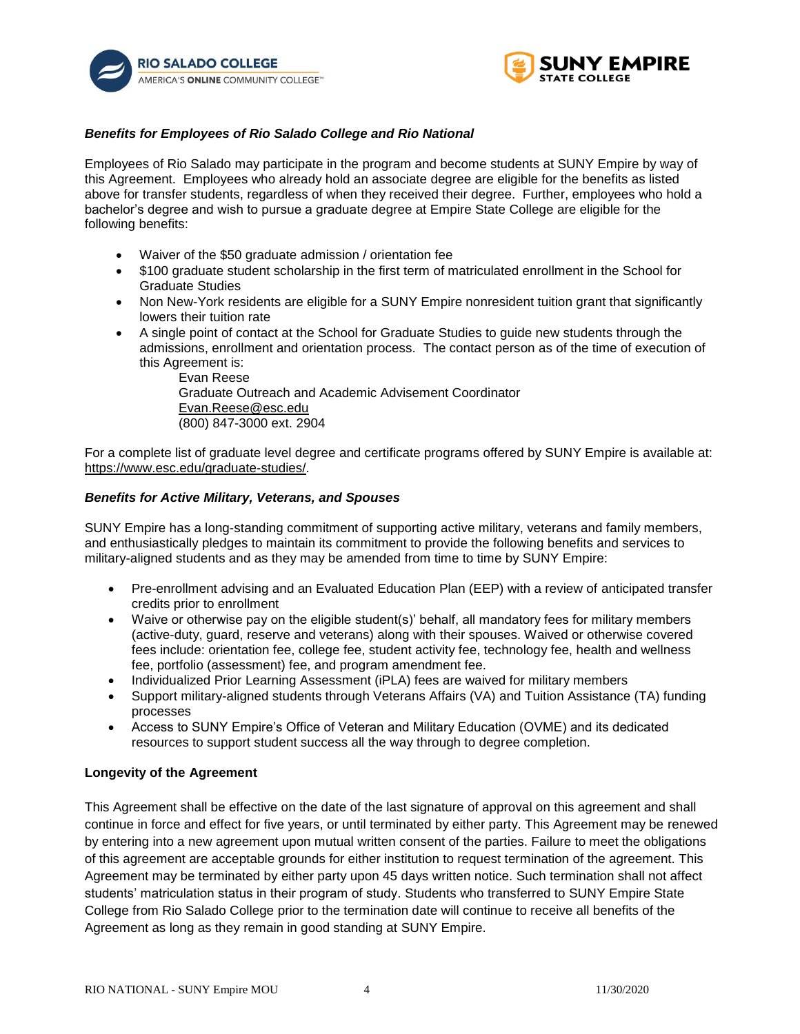



### *Benefits for Employees of Rio Salado College and Rio National*

Employees of Rio Salado may participate in the program and become students at SUNY Empire by way of this Agreement. Employees who already hold an associate degree are eligible for the benefits as listed above for transfer students, regardless of when they received their degree. Further, employees who hold a bachelor's degree and wish to pursue a graduate degree at Empire State College are eligible for the following benefits:

- Waiver of the \$50 graduate admission / orientation fee
- \$100 graduate student scholarship in the first term of matriculated enrollment in the School for Graduate Studies
- Non New-York residents are eligible for a SUNY Empire nonresident tuition grant that significantly lowers their tuition rate
- A single point of contact at the School for Graduate Studies to guide new students through the admissions, enrollment and orientation process. The contact person as of the time of execution of this Agreement is:

Evan Reese Graduate Outreach and Academic Advisement Coordinator Evan.Reese@esc.edu (800) 847-3000 ext. 2904

For a complete list of graduate level degree and certificate programs offered by SUNY Empire is available at: https://www.esc.edu/graduate-studies/.

#### *Benefits for Active Military, Veterans, and Spouses*

SUNY Empire has a long-standing commitment of supporting active military, veterans and family members, and enthusiastically pledges to maintain its commitment to provide the following benefits and services to military-aligned students and as they may be amended from time to time by SUNY Empire:

- Pre-enrollment advising and an Evaluated Education Plan (EEP) with a review of anticipated transfer credits prior to enrollment
- Waive or otherwise pay on the eligible student(s)' behalf, all mandatory fees for military members (active-duty, guard, reserve and veterans) along with their spouses. Waived or otherwise covered fees include: orientation fee, college fee, student activity fee, technology fee, health and wellness fee, portfolio (assessment) fee, and program amendment fee.
- Individualized Prior Learning Assessment (iPLA) fees are waived for military members
- Support military-aligned students through Veterans Affairs (VA) and Tuition Assistance (TA) funding processes
- Access to SUNY Empire's Office of Veteran and Military Education (OVME) and its dedicated resources to support student success all the way through to degree completion.

#### **Longevity of the Agreement**

This Agreement shall be effective on the date of the last signature of approval on this agreement and shall continue in force and effect for five years, or until terminated by either party. This Agreement may be renewed by entering into a new agreement upon mutual written consent of the parties. Failure to meet the obligations of this agreement are acceptable grounds for either institution to request termination of the agreement. This Agreement may be terminated by either party upon 45 days written notice. Such termination shall not affect students' matriculation status in their program of study. Students who transferred to SUNY Empire State College from Rio Salado College prior to the termination date will continue to receive all benefits of the Agreement as long as they remain in good standing at SUNY Empire.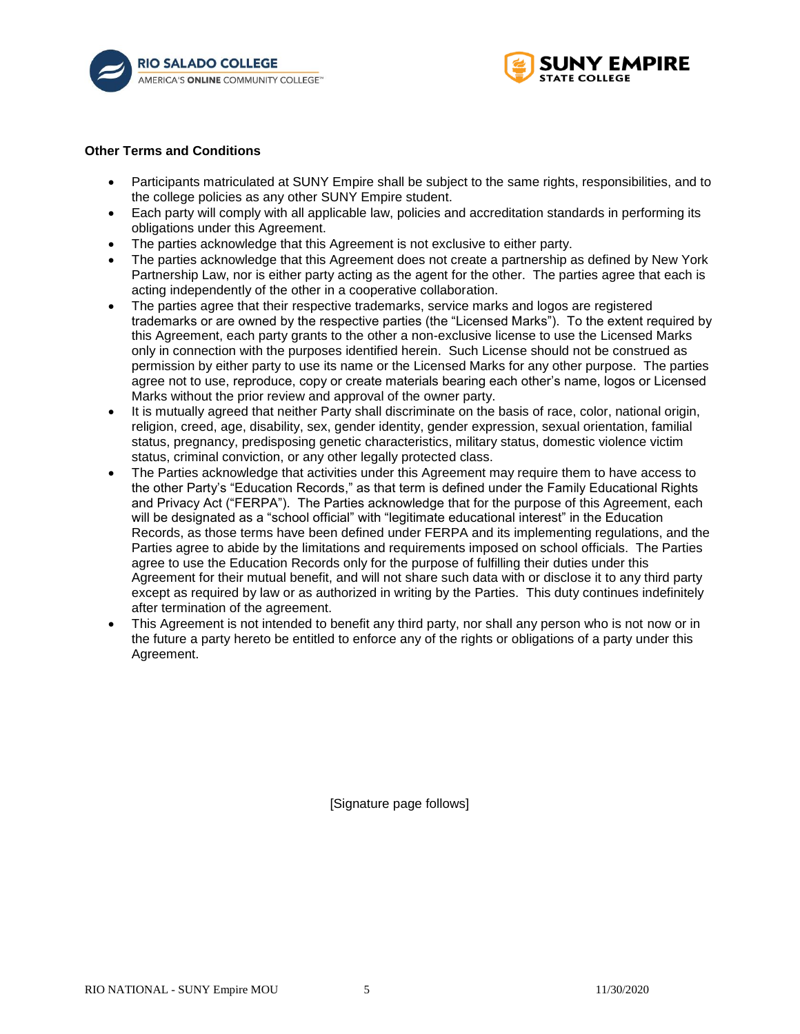



#### **Other Terms and Conditions**

- Participants matriculated at SUNY Empire shall be subject to the same rights, responsibilities, and to the college policies as any other SUNY Empire student.
- Each party will comply with all applicable law, policies and accreditation standards in performing its obligations under this Agreement.
- The parties acknowledge that this Agreement is not exclusive to either party.
- The parties acknowledge that this Agreement does not create a partnership as defined by New York Partnership Law, nor is either party acting as the agent for the other. The parties agree that each is acting independently of the other in a cooperative collaboration.
- The parties agree that their respective trademarks, service marks and logos are registered trademarks or are owned by the respective parties (the "Licensed Marks"). To the extent required by this Agreement, each party grants to the other a non-exclusive license to use the Licensed Marks only in connection with the purposes identified herein. Such License should not be construed as permission by either party to use its name or the Licensed Marks for any other purpose. The parties agree not to use, reproduce, copy or create materials bearing each other's name, logos or Licensed Marks without the prior review and approval of the owner party.
- It is mutually agreed that neither Party shall discriminate on the basis of race, color, national origin, religion, creed, age, disability, sex, gender identity, gender expression, sexual orientation, familial status, pregnancy, predisposing genetic characteristics, military status, domestic violence victim status, criminal conviction, or any other legally protected class.
- The Parties acknowledge that activities under this Agreement may require them to have access to the other Party's "Education Records," as that term is defined under the Family Educational Rights and Privacy Act ("FERPA"). The Parties acknowledge that for the purpose of this Agreement, each will be designated as a "school official" with "legitimate educational interest" in the Education Records, as those terms have been defined under FERPA and its implementing regulations, and the Parties agree to abide by the limitations and requirements imposed on school officials. The Parties agree to use the Education Records only for the purpose of fulfilling their duties under this Agreement for their mutual benefit, and will not share such data with or disclose it to any third party except as required by law or as authorized in writing by the Parties. This duty continues indefinitely after termination of the agreement.
- This Agreement is not intended to benefit any third party, nor shall any person who is not now or in the future a party hereto be entitled to enforce any of the rights or obligations of a party under this Agreement.

[Signature page follows]